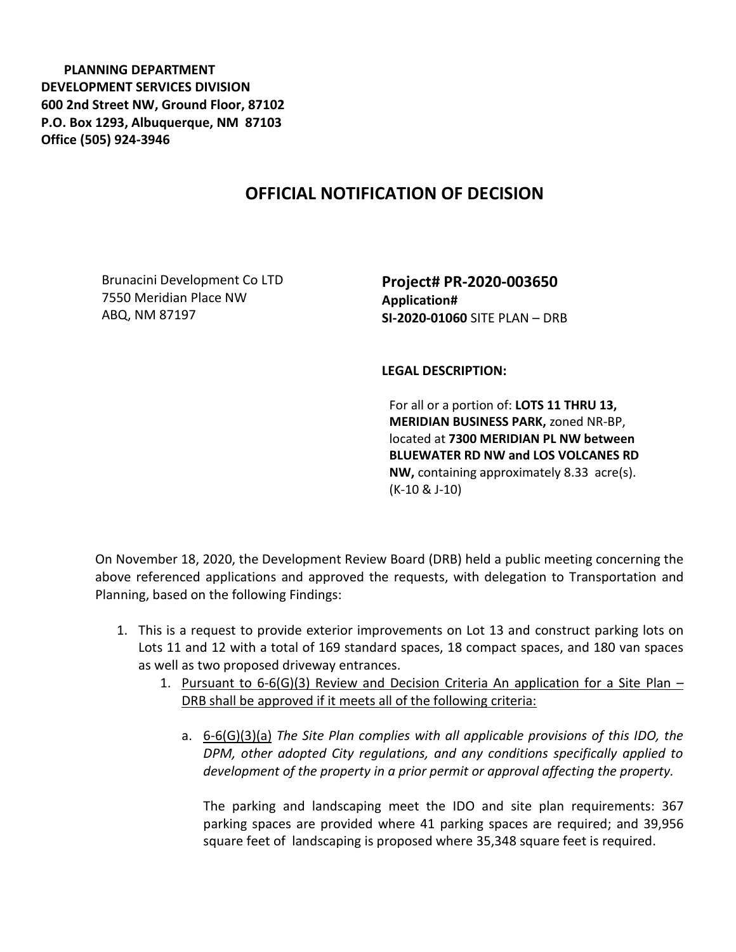**PLANNING DEPARTMENT DEVELOPMENT SERVICES DIVISION 600 2nd Street NW, Ground Floor, 87102 P.O. Box 1293, Albuquerque, NM 87103 Office (505) 924-3946** 

## **OFFICIAL NOTIFICATION OF DECISION**

Brunacini Development Co LTD 7550 Meridian Place NW ABQ, NM 87197

**Project# PR-2020-003650 Application# SI-2020-01060** SITE PLAN – DRB

## **LEGAL DESCRIPTION:**

For all or a portion of: **LOTS 11 THRU 13, MERIDIAN BUSINESS PARK,** zoned NR-BP, located at **7300 MERIDIAN PL NW between BLUEWATER RD NW and LOS VOLCANES RD NW,** containing approximately 8.33 acre(s). (K-10 & J-10)

On November 18, 2020, the Development Review Board (DRB) held a public meeting concerning the above referenced applications and approved the requests, with delegation to Transportation and Planning, based on the following Findings:

- 1. This is a request to provide exterior improvements on Lot 13 and construct parking lots on Lots 11 and 12 with a total of 169 standard spaces, 18 compact spaces, and 180 van spaces as well as two proposed driveway entrances.
	- 1. Pursuant to  $6-6$ (G)(3) Review and Decision Criteria An application for a Site Plan DRB shall be approved if it meets all of the following criteria:
		- a. 6-6(G)(3)(a) *The Site Plan complies with all applicable provisions of this IDO, the DPM, other adopted City regulations, and any conditions specifically applied to development of the property in a prior permit or approval affecting the property.*

The parking and landscaping meet the IDO and site plan requirements: 367 parking spaces are provided where 41 parking spaces are required; and 39,956 square feet of landscaping is proposed where 35,348 square feet is required.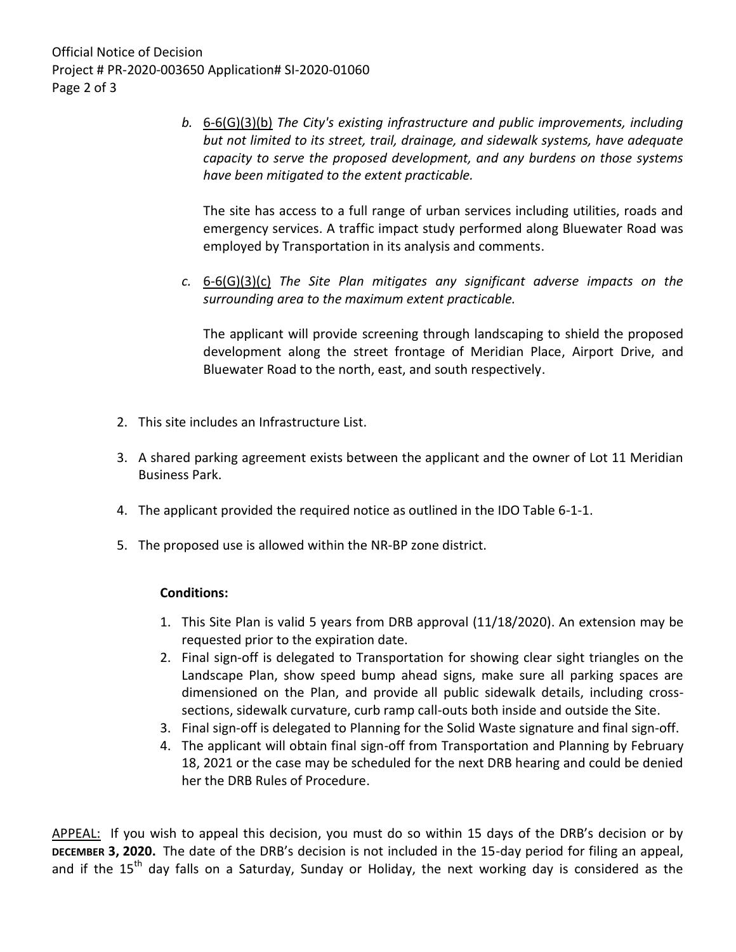*b.* 6-6(G)(3)(b) *The City's existing infrastructure and public improvements, including but not limited to its street, trail, drainage, and sidewalk systems, have adequate capacity to serve the proposed development, and any burdens on those systems have been mitigated to the extent practicable.* 

The site has access to a full range of urban services including utilities, roads and emergency services. A traffic impact study performed along Bluewater Road was employed by Transportation in its analysis and comments.

*c.* 6-6(G)(3)(c) *The Site Plan mitigates any significant adverse impacts on the surrounding area to the maximum extent practicable.* 

The applicant will provide screening through landscaping to shield the proposed development along the street frontage of Meridian Place, Airport Drive, and Bluewater Road to the north, east, and south respectively.

- 2. This site includes an Infrastructure List.
- 3. A shared parking agreement exists between the applicant and the owner of Lot 11 Meridian Business Park.
- 4. The applicant provided the required notice as outlined in the IDO Table 6-1-1.
- 5. The proposed use is allowed within the NR-BP zone district.

## **Conditions:**

- 1. This Site Plan is valid 5 years from DRB approval (11/18/2020). An extension may be requested prior to the expiration date.
- 2. Final sign-off is delegated to Transportation for showing clear sight triangles on the Landscape Plan, show speed bump ahead signs, make sure all parking spaces are dimensioned on the Plan, and provide all public sidewalk details, including crosssections, sidewalk curvature, curb ramp call-outs both inside and outside the Site.
- 3. Final sign-off is delegated to Planning for the Solid Waste signature and final sign-off.
- 4. The applicant will obtain final sign-off from Transportation and Planning by February 18, 2021 or the case may be scheduled for the next DRB hearing and could be denied her the DRB Rules of Procedure.

APPEAL: If you wish to appeal this decision, you must do so within 15 days of the DRB's decision or by **DECEMBER 3, 2020.** The date of the DRB's decision is not included in the 15-day period for filing an appeal, and if the  $15<sup>th</sup>$  day falls on a Saturday, Sunday or Holiday, the next working day is considered as the